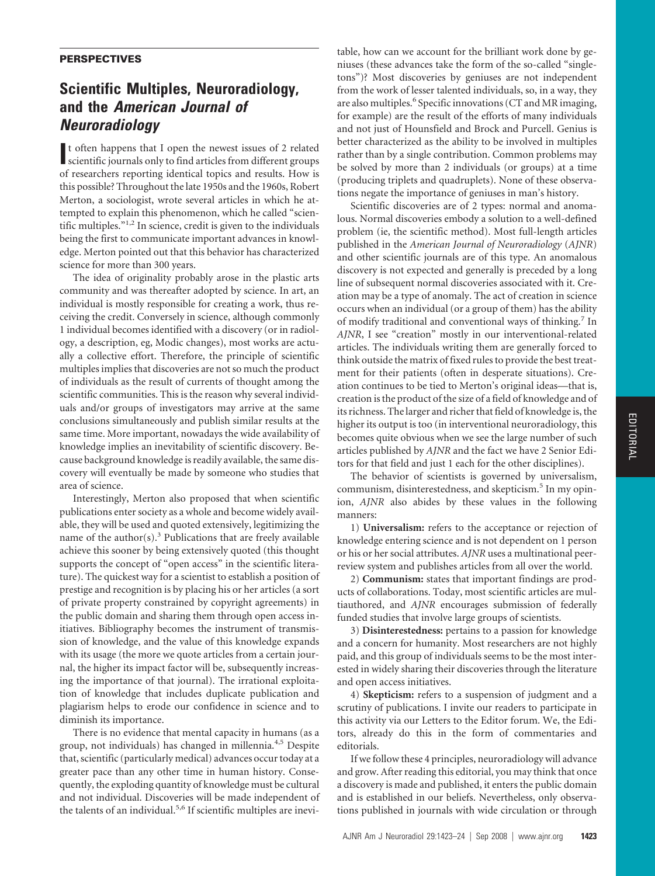## **PERSPECTIVES**

## **Scientific Multiples, Neuroradiology, and the** *American Journal of Neuroradiology*

It often happens that I open the newest issues of 2 related scientific journals only to find articles from different groups t often happens that I open the newest issues of 2 related of researchers reporting identical topics and results. How is this possible? Throughout the late 1950s and the 1960s, Robert Merton, a sociologist, wrote several articles in which he attempted to explain this phenomenon, which he called "scientific multiples."<sup>1,2</sup> In science, credit is given to the individuals being the first to communicate important advances in knowledge. Merton pointed out that this behavior has characterized science for more than 300 years.

The idea of originality probably arose in the plastic arts community and was thereafter adopted by science. In art, an individual is mostly responsible for creating a work, thus receiving the credit. Conversely in science, although commonly 1 individual becomes identified with a discovery (or in radiology, a description, eg, Modic changes), most works are actually a collective effort. Therefore, the principle of scientific multiples implies that discoveries are not so much the product of individuals as the result of currents of thought among the scientific communities. This is the reason why several individuals and/or groups of investigators may arrive at the same conclusions simultaneously and publish similar results at the same time. More important, nowadays the wide availability of knowledge implies an inevitability of scientific discovery. Because background knowledge is readily available, the same discovery will eventually be made by someone who studies that area of science.

Interestingly, Merton also proposed that when scientific publications enter society as a whole and become widely available, they will be used and quoted extensively, legitimizing the name of the author(s).<sup>3</sup> Publications that are freely available achieve this sooner by being extensively quoted (this thought supports the concept of "open access" in the scientific literature). The quickest way for a scientist to establish a position of prestige and recognition is by placing his or her articles (a sort of private property constrained by copyright agreements) in the public domain and sharing them through open access initiatives. Bibliography becomes the instrument of transmission of knowledge, and the value of this knowledge expands with its usage (the more we quote articles from a certain journal, the higher its impact factor will be, subsequently increasing the importance of that journal). The irrational exploitation of knowledge that includes duplicate publication and plagiarism helps to erode our confidence in science and to diminish its importance.

There is no evidence that mental capacity in humans (as a group, not individuals) has changed in millennia.4,5 Despite that, scientific (particularly medical) advances occur today at a greater pace than any other time in human history. Consequently, the exploding quantity of knowledge must be cultural and not individual. Discoveries will be made independent of the talents of an individual.<sup>5,6</sup> If scientific multiples are inevitable, how can we account for the brilliant work done by geniuses (these advances take the form of the so-called "singletons")? Most discoveries by geniuses are not independent from the work of lesser talented individuals, so, in a way, they are also multiples.<sup>6</sup> Specific innovations (CT and MR imaging, for example) are the result of the efforts of many individuals and not just of Hounsfield and Brock and Purcell. Genius is better characterized as the ability to be involved in multiples rather than by a single contribution. Common problems may be solved by more than 2 individuals (or groups) at a time (producing triplets and quadruplets). None of these observations negate the importance of geniuses in man's history.

Scientific discoveries are of 2 types: normal and anomalous. Normal discoveries embody a solution to a well-defined problem (ie, the scientific method). Most full-length articles published in the *American Journal of Neuroradiology* (*AJNR*) and other scientific journals are of this type. An anomalous discovery is not expected and generally is preceded by a long line of subsequent normal discoveries associated with it. Creation may be a type of anomaly. The act of creation in science occurs when an individual (or a group of them) has the ability of modify traditional and conventional ways of thinking.<sup>7</sup> In *AJNR*, I see "creation" mostly in our interventional-related articles. The individuals writing them are generally forced to think outside the matrix of fixed rules to provide the best treatment for their patients (often in desperate situations). Creation continues to be tied to Merton's original ideas—that is, creation is the product of the size of a field of knowledge and of its richness. The larger and richer that field of knowledge is, the higher its output is too (in interventional neuroradiology, this becomes quite obvious when we see the large number of such articles published by *AJNR* and the fact we have 2 Senior Editors for that field and just 1 each for the other disciplines).

The behavior of scientists is governed by universalism, communism, disinterestedness, and skepticism.<sup>5</sup> In my opinion, *AJNR* also abides by these values in the following manners:

1) **Universalism:** refers to the acceptance or rejection of knowledge entering science and is not dependent on 1 person or his or her social attributes. *AJNR* uses a multinational peerreview system and publishes articles from all over the world.

2) **Communism:** states that important findings are products of collaborations. Today, most scientific articles are multiauthored, and *AJNR* encourages submission of federally funded studies that involve large groups of scientists.

3) **Disinterestedness:** pertains to a passion for knowledge and a concern for humanity. Most researchers are not highly paid, and this group of individuals seems to be the most interested in widely sharing their discoveries through the literature and open access initiatives.

4) **Skepticism:** refers to a suspension of judgment and a scrutiny of publications. I invite our readers to participate in this activity via our Letters to the Editor forum. We, the Editors, already do this in the form of commentaries and editorials.

If we follow these 4 principles, neuroradiology will advance and grow. After reading this editorial, you may think that once a discovery is made and published, it enters the public domain and is established in our beliefs. Nevertheless, only observations published in journals with wide circulation or through